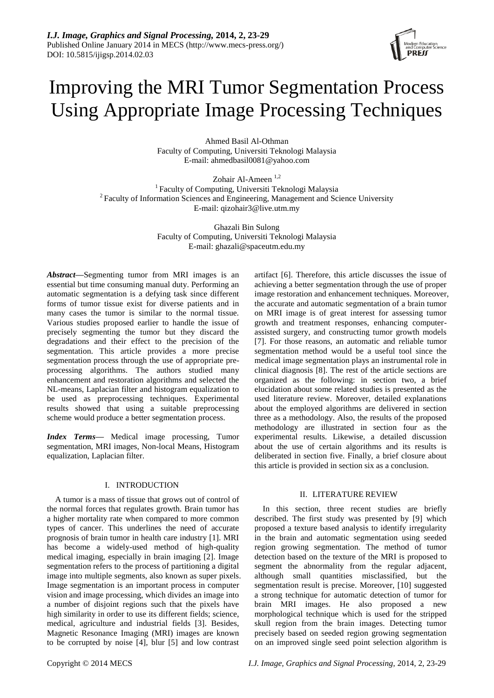# Improving the MRI Tumor Segmentation Process Using Appropriate Image Processing Techniques

Ahmed Basil Al-Othman Faculty of Computing, Universiti Teknologi Malaysia E-mail: ahmedbasil0081@yahoo.com

Zohair Al-Ameen<sup>1,2</sup>

<sup>1</sup> Faculty of Computing, Universiti Teknologi Malaysia <sup>2</sup> Faculty of Information Sciences and Engineering, Management and Science University E-mail: qizohair3@live.utm.my

> Ghazali Bin Sulong Faculty of Computing, Universiti Teknologi Malaysia E-mail: ghazali@spaceutm.edu.my

*Abstract***—**Segmenting tumor from MRI images is an essential but time consuming manual duty. Performing an automatic segmentation is a defying task since different forms of tumor tissue exist for diverse patients and in many cases the tumor is similar to the normal tissue. Various studies proposed earlier to handle the issue of precisely segmenting the tumor but they discard the degradations and their effect to the precision of the segmentation. This article provides a more precise segmentation process through the use of appropriate preprocessing algorithms. The authors studied many enhancement and restoration algorithms and selected the NL-means, Laplacian filter and histogram equalization to be used as preprocessing techniques. Experimental results showed that using a suitable preprocessing scheme would produce a better segmentation process.

*Index Terms—* Medical image processing, Tumor segmentation, MRI images, Non-local Means, Histogram equalization, Laplacian filter.

## I. INTRODUCTION

A tumor is a mass of tissue that grows out of control of the normal forces that regulates growth. Brain tumor has a higher mortality rate when compared to more common types of cancer. This underlines the need of accurate prognosis of brain tumor in health care industry [1]. MRI has become a widely-used method of high-quality medical imaging, especially in brain imaging [2]. Image segmentation refers to the process of partitioning a digital image into multiple segments, also known as super pixels. Image segmentation is an important process in computer vision and image processing, which divides an image into a number of disjoint regions such that the pixels have high similarity in order to use its different fields; science, medical, agriculture and industrial fields [3]. Besides, Magnetic Resonance Imaging (MRI) images are known to be corrupted by noise [4], blur [5] and low contrast

artifact [6]. Therefore, this article discusses the issue of achieving a better segmentation through the use of proper image restoration and enhancement techniques. Moreover, the accurate and automatic segmentation of a brain tumor on MRI image is of great interest for assessing tumor growth and treatment responses, enhancing computerassisted surgery, and constructing tumor growth models [7]. For those reasons, an automatic and reliable tumor segmentation method would be a useful tool since the medical image segmentation plays an instrumental role in clinical diagnosis [8]. The rest of the article sections are organized as the following: in section two, a brief elucidation about some related studies is presented as the used literature review. Moreover, detailed explanations about the employed algorithms are delivered in section three as a methodology. Also, the results of the proposed methodology are illustrated in section four as the experimental results. Likewise, a detailed discussion about the use of certain algorithms and its results is deliberated in section five. Finally, a brief closure about this article is provided in section six as a conclusion.

## II. LITERATURE REVIEW

In this section, three recent studies are briefly described. The first study was presented by [9] which proposed a texture based analysis to identify irregularity in the brain and automatic segmentation using seeded region growing segmentation. The method of tumor detection based on the texture of the MRI is proposed to segment the abnormality from the regular adjacent, although small quantities misclassified, but the segmentation result is precise. Moreover, [10] suggested a strong technique for automatic detection of tumor for brain MRI images. He also proposed a new morphological technique which is used for the stripped skull region from the brain images. Detecting tumor precisely based on seeded region growing segmentation on an improved single seed point selection algorithm is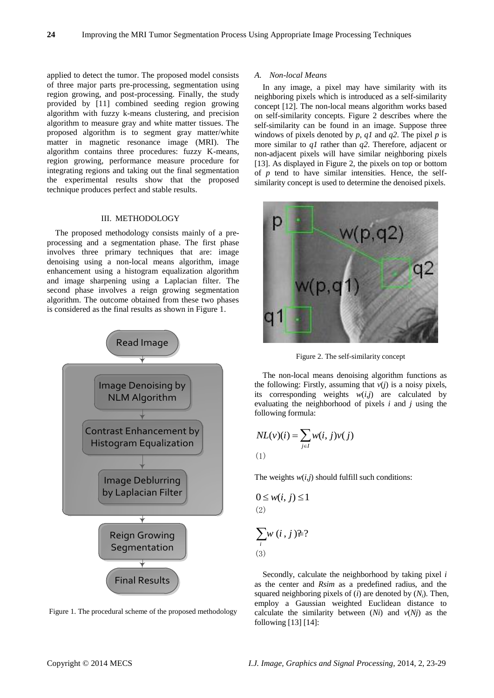applied to detect the tumor. The proposed model consists of three major parts pre-processing, segmentation using region growing, and post-processing. Finally, the study provided by [11] combined seeding region growing algorithm with fuzzy k-means clustering, and precision algorithm to measure gray and white matter tissues. The proposed algorithm is to segment gray matter/white matter in magnetic resonance image (MRI). The algorithm contains three procedures: fuzzy K-means, region growing, performance measure procedure for integrating regions and taking out the final segmentation the experimental results show that the proposed technique produces perfect and stable results.

#### III. METHODOLOGY

The proposed methodology consists mainly of a preprocessing and a segmentation phase. The first phase involves three primary techniques that are: image denoising using a non-local means algorithm, image enhancement using a histogram equalization algorithm and image sharpening using a Laplacian filter. The second phase involves a reign growing segmentation algorithm. The outcome obtained from these two phases is considered as the final results as shown in Figure 1.



Figure 1. The procedural scheme of the proposed methodology

#### *A. Non-local Means*

In any image, a pixel may have similarity with its neighboring pixels which is introduced as a self-similarity concept [12]. The non-local means algorithm works based on self-similarity concepts. Figure 2 describes where the self-similarity can be found in an image. Suppose three windows of pixels denoted by *p*, *q1* and *q2*. The pixel *p* is more similar to *q1* rather than *q2*. Therefore, adjacent or non-adjacent pixels will have similar neighboring pixels [13]. As displayed in Figure 2, the pixels on top or bottom of  $p$  tend to have similar intensities. Hence, the selfsimilarity concept is used to determine the denoised pixels.



Figure 2. The self-similarity concept

The non-local means denoising algorithm functions as the following: Firstly, assuming that  $v(j)$  is a noisy pixels, its corresponding weights  $w(i,j)$  are calculated by evaluating the neighborhood of pixels *i* and *j* using the following formula:

$$
NL(v)(i) = \sum_{j \in I} w(i, j)v(j)
$$
  
(1)

The weights  $w(i, j)$  should fulfill such conditions:

$$
0 \le w(i, j) \le 1
$$
  
(2)

# $\sum w(i, j)$ <sup>2</sup>? *i* (3)

Secondly, calculate the neighborhood by taking pixel *i*  as the center and *Rsim* as a predefined radius, and the squared neighboring pixels of (*i*) are denoted by (*Ni*). Then, employ a Gaussian weighted Euclidean distance to calculate the similarity between  $(Ni)$  and  $v(Nj)$  as the following [13] [14]: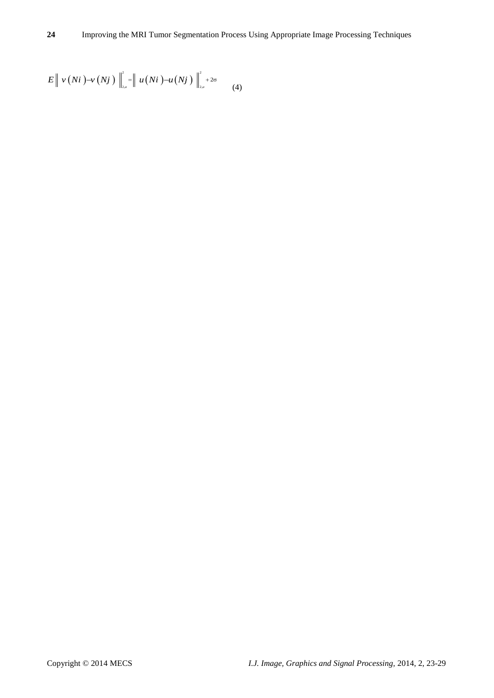$$
E \left\| v(Ni) - v(Nj) \right\|_{\infty}^{2} = \left\| u(Ni) - u(Nj) \right\|_{\infty}^{2} \approx (4)
$$
\nConveright 0 2014 MFCS

\nCopyright 0 2014 MFCS

\n*LJ. Image, Graphics and Signal Processing*, 2014, 2, 2, 2.9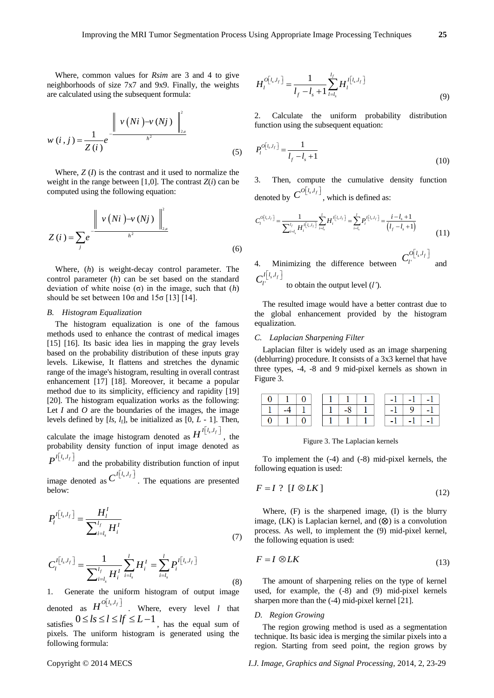Where, common values for *Rsim* are 3 and 4 to give neighborhoods of size 7x7 and 9x9. Finally, the weights are calculated using the subsequent formula:

$$
w(i,j) = \frac{1}{Z(i)} e^{-\frac{\left\|v(Ni) - v(Nj)\right\|_{2a}^2}{h^2}}
$$
\n(5)

Where, *Z* (*I*) is the contrast and it used to normalize the weight in the range between [1,0]. The contrast  $Z(i)$  can be computed using the following equation:

$$
Z(i) = \sum_{j} e^{-\frac{\left\|v(Ni) - v(Nj)\right\|_{2a}^{2}}{h^{2}}}
$$
(6)

Where, (*h*) is weight-decay control parameter. The control parameter (*h*) can be set based on the standard deviation of white noise (σ) in the image, such that (*h*) should be set between  $10\sigma$  and  $15\sigma$  [13] [14].

## *B. Histogram Equalization*

The histogram equalization is one of the famous methods used to enhance the contrast of medical images [15] [16]. Its basic idea lies in mapping the gray levels based on the probability distribution of these inputs gray levels. Likewise, It flattens and stretches the dynamic range of the image's histogram, resulting in overall contrast enhancement [17] [18]. Moreover, it became a popular method due to its simplicity, efficiency and rapidity [19] [20]. The histogram equalization works as the following: Let *I* and *O* are the boundaries of the images, the image levels defined by  $[k, l_f]$ , be initialized as  $[0, L - 1]$ . Then, calculate the image histogram denoted as  $H^{I(l_s, l_f)}$ , the

probability density function of input image denoted as  $P^{I[l_s, l_f]}$  and the probability distribution function of input

image denoted as  $C^{I[l_s, l_f]}$ . The equations are presented

below:

$$
P_l^{I[l_s, l_f]} = \frac{H_l^I}{\sum_{i=l_s}^{l_f} H_i^I}
$$
\n
$$
(7)
$$

$$
C_{l}^{I[l_s, l_f]} = \frac{1}{\sum_{i=l_s}^{l_f} H_i^I} \sum_{i=l_s}^{l} H_i^I = \sum_{i=l_s}^{l} P_i^{I[l_s, l_f]}
$$
(8)

1. Generate the uniform histogram of output image denoted as  $H^{O[*l*, *l*<sub>f</sub>}$  Where, every level *l* that satisfies  $0 \le l$ s  $\le l \le l$   $\le l$   $\le L-1$ , has the equal sum of pixels. The uniform histogram is generated using the following formula:

$$
H_l^{O[l_s, l_f]} = \frac{1}{l_f - l_s + 1} \sum_{l=l_s}^{l_f} H_l^{I[l_s, l_f]}
$$
(9)

Calculate the uniform probability distribution function using the subsequent equation:

$$
P_l^{O[l_s, l_f]} = \frac{1}{l_f - l_s + 1} \tag{10}
$$

3. Then, compute the cumulative density function

denoted by 
$$
C^{O[l_s, l_f]}
$$
, which is defined as:  
\n
$$
C_l^{O[l_s, l_f]} = \frac{1}{\sum_{i=l_s}^{l_f} H_i^{I[l_s, l_f]}} \sum_{i=l_s}^{l} H_i^{I[l_s, l_f]} = \frac{1}{l_s} P_i^{I[l_s, l_f]} = \frac{i - l_s + 1}{(l_f - l_s + 1)}
$$
\n(11)

4. Minimizing the difference between  $C_l^{O\lfloor l_s, l_f\rfloor}$ 'and  $C_l^{I\lfloor l_s, l_f\rfloor}$ to obtain the output level (*l'*).

The resulted image would have a better contrast due to the global enhancement provided by the histogram equalization.

#### *C. Laplacian Sharpening Filter*

Laplacian filter is widely used as an image sharpening (deblurring) procedure. It consists of a 3x3 kernel that have three types, -4, -8 and 9 mid-pixel kernels as shown in Figure 3.

|  |  |     |  | $-1$ $-1$ $-1$  |  |
|--|--|-----|--|-----------------|--|
|  |  | -8- |  | $-1$   9   $-1$ |  |
|  |  |     |  | 1 - 1 1 - 1     |  |

Figure 3. The Laplacian kernels

To implement the (-4) and (-8) mid-pixel kernels, the following equation is used:

$$
F = I ? [I \otimes LK]
$$
 (12)

Where, (F) is the sharpened image, (I) is the blurry image,  $(LK)$  is Laplacian kernel, and  $(\otimes)$  is a convolution process. As well, to implement the (9) mid-pixel kernel, the following equation is used:

$$
F = I \otimes LK \tag{13}
$$

The amount of sharpening relies on the type of kernel used, for example, the (-8) and (9) mid-pixel kernels sharpen more than the (-4) mid-pixel kernel [21].

## *D. Region Growing*

The region growing method is used as a segmentation technique. Its basic idea is merging the similar pixels into a region. Starting from seed point, the region grows by

Copyright © 2014 MECS *I.J. Image, Graphics and Signal Processing,* 2014, 2, 23-29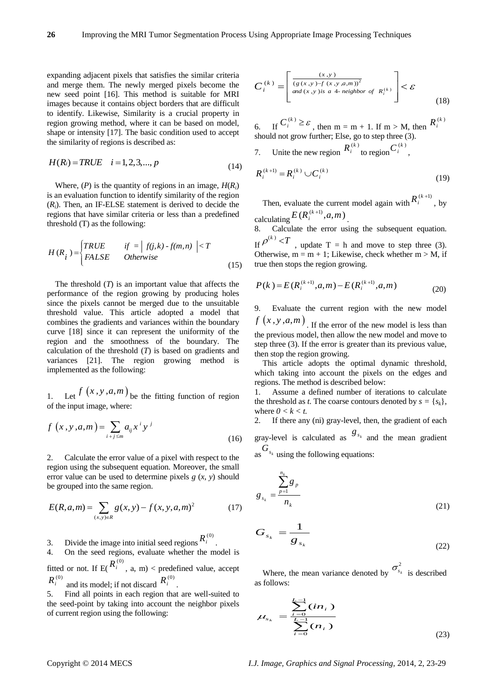expanding adjacent pixels that satisfies the similar criteria and merge them. The newly merged pixels become the new seed point [16]. This method is suitable for MRI images because it contains object borders that are difficult to identify. Likewise, Similarity is a crucial property in region growing method, where it can be based on model, shape or intensity [17]. The basic condition used to accept the similarity of regions is described as:

$$
H(R_i) = TRUE \quad i = 1, 2, 3, ..., p \tag{14}
$$

Where,  $(P)$  is the quantity of regions in an image,  $H(R_i)$ is an evaluation function to identify similarity of the region (*Ri*). Then, an IF-ELSE statement is derived to decide the regions that have similar criteria or less than a predefined threshold (T) as the following:

$$
H(R_i) = \begin{cases} TRUE & \text{if } = |f(j,k) - f(m,n)| < T \\ FALSE & Otherwise \end{cases}
$$
(15)

The threshold (*T*) is an important value that affects the performance of the region growing by producing holes since the pixels cannot be merged due to the unsuitable threshold value. This article adopted a model that combines the gradients and variances within the boundary curve [18] since it can represent the uniformity of the region and the smoothness of the boundary. The calculation of the threshold (*T*) is based on gradients and variances [21]. The region growing method is implemented as the following:

1. Let  $f(x, y, a, m)$  be the fitting function of region of the input image, where:

$$
f(x, y, a, m) = \sum_{i+j \le m} a_{ij} x^i y^j
$$
 (16)

2. Calculate the error value of a pixel with respect to the region using the subsequent equation. Moreover, the small error value can be used to determine pixels *g* (*x*, *y*) should be grouped into the same region.

$$
E(R, a, m) = \sum_{(x, y) \in R} g(x, y) - f(x, y, a, m)^2
$$
 (17)

3. Divide the image into initial seed regions  $R_i^{(0)}$ .

4. On the seed regions, evaluate whether the model is

fitted or not. If  $E(R_i^{(0)}, a, m)$  < predefined value, accept  $R_i^{(0)}$ and its model; if not discard  $R_i^{(0)}$ .

5. Find all points in each region that are well-suited to the seed-point by taking into account the neighbor pixels of current region using the following:

$$
C_i^{(k)} = \begin{bmatrix} \frac{(x, y)}{(g(x, y) - f(x, y, a, m))^2} \\ \frac{(g(x, y) - f(x, y, a, m))^2}{g(x, y) \sin a 4 - \text{neighbor of } R_i^{(k)}} \end{bmatrix} < \varepsilon
$$
 (18)

6. If  $C_i^{(k)} \ge \varepsilon$ , then m = m + 1. If m > M, then  $R_i^{(k)}$ should not grow further; Else, go to step three (3).

7. Unite the new region  $R_i^{(k)}$  to region  $C_i^{(k)}$ ,

$$
R_i^{(k+1)} = R_i^{(k)} \cup C_i^{(k)}
$$
\n(19)

Then, evaluate the current model again with  $R_i^{(k+1)}$ , by calculating  $E(R_i^{(k+1)}, a, m)$ .

8. Calculate the error using the subsequent equation. If  $\rho^{(k)} < T$ , update T = h and move to step three (3). Otherwise,  $m = m + 1$ ; Likewise, check whether  $m > M$ , if true then stops the region growing.

$$
P(k) = E(R_i^{(k+1)}, a, m) - E(R_i^{(k+1)}, a, m)
$$
\n(20)

Evaluate the current region with the new model  $f(x, y, a, m)$ . If the error of the new model is less than

the previous model, then allow the new model and move to step three (3). If the error is greater than its previous value, then stop the region growing.

This article adopts the optimal dynamic threshold, which taking into account the pixels on the edges and regions. The method is described below:

1. Assume a defined number of iterations to calculate the threshold as *t*. The coarse contours denoted by  $s = \{s_k\}$ , where  $0 < k < t$ .

2. If there any (ni) gray-level, then, the gradient of each

gray-level is calculated as  $g_{s_k}$  and the mean gradient  $G_{s_k}$  using the following equations:

$$
g_{s_k} = \frac{\sum_{p=1}^{n_k} g_p}{n_k}
$$
 (21)

$$
G_{s_k} = \frac{1}{g_{s_k}}\tag{22}
$$

Where, the mean variance denoted by 2  $\sigma_{s_k}$  is described as follows:

$$
\mu_{s_k} = \frac{\sum_{i=0}^{L-1} (in_i)}{\sum_{i=0}^{L-1} (n_i)}
$$
\n(23)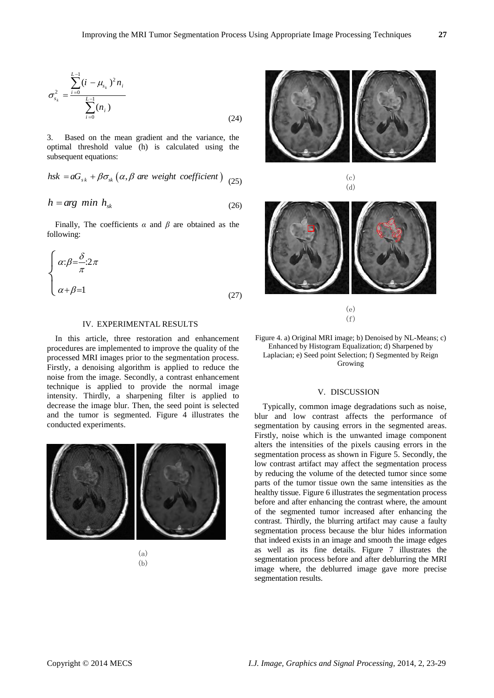$$
\sigma_{s_k}^2 = \frac{\sum_{i=0}^{L-1} (i - \mu_{s_k})^2 n_i}{\sum_{i=0}^{L-1} (n_i)}
$$
\n(24)

3. Based on the mean gradient and the variance, the optimal threshold value (h) is calculated using the subsequent equations:<br>*hsk* =  $aG_{sk} + \beta \sigma_{sk} (\alpha, \beta \text{ are weight coefficient})$  (25) subsequent equations:

*hsk* = 
$$
aG_{sk} + \beta \sigma_{sk} (\alpha, \beta \text{ are weight coefficient})
$$
 (25)

$$
h = arg \ min \ h_{sk} \tag{26}
$$

Finally, The coefficients *α* and *β* are obtained as the following:

$$
\begin{cases}\n\alpha:\beta = \frac{\delta}{\pi}:2\pi \\
\alpha + \beta = 1\n\end{cases}
$$
\n(27)

# IV. EXPERIMENTAL RESULTS

In this article, three restoration and enhancement procedures are implemented to improve the quality of the processed MRI images prior to the segmentation process. Firstly, a denoising algorithm is applied to reduce the noise from the image. Secondly, a contrast enhancement technique is applied to provide the normal image intensity. Thirdly, a sharpening filter is applied to decrease the image blur. Then, the seed point is selected and the tumor is segmented. Figure 4 illustrates the conducted experiments.



<sup>(</sup>a) (b)



 $(c)$ (d)



Figure 4. a) Original MRI image; b) Denoised by NL-Means; c) Enhanced by Histogram Equalization; d) Sharpened by Laplacian; e) Seed point Selection; f) Segmented by Reign Growing

# V. DISCUSSION

Typically, common image degradations such as noise, blur and low contrast affects the performance of segmentation by causing errors in the segmented areas. Firstly, noise which is the unwanted image component alters the intensities of the pixels causing errors in the segmentation process as shown in Figure 5. Secondly, the low contrast artifact may affect the segmentation process by reducing the volume of the detected tumor since some parts of the tumor tissue own the same intensities as the healthy tissue. Figure 6 illustrates the segmentation process before and after enhancing the contrast where, the amount of the segmented tumor increased after enhancing the contrast. Thirdly, the blurring artifact may cause a faulty segmentation process because the blur hides information that indeed exists in an image and smooth the image edges as well as its fine details. Figure 7 illustrates the segmentation process before and after deblurring the MRI image where, the deblurred image gave more precise segmentation results.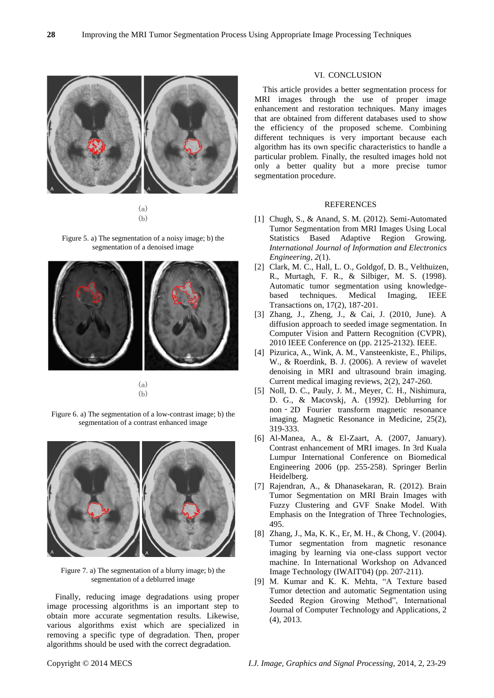

$$
\begin{array}{c} (a) \\ (b) \end{array}
$$

Figure 5. a) The segmentation of a noisy image; b) the segmentation of a denoised image



$$
\begin{array}{c} (a) \\ (b) \end{array}
$$

Figure 6. a) The segmentation of a low-contrast image; b) the segmentation of a contrast enhanced image



Figure 7. a) The segmentation of a blurry image; b) the segmentation of a deblurred image

Finally, reducing image degradations using proper image processing algorithms is an important step to obtain more accurate segmentation results. Likewise, various algorithms exist which are specialized in removing a specific type of degradation. Then, proper algorithms should be used with the correct degradation.

#### VI. CONCLUSION

This article provides a better segmentation process for MRI images through the use of proper image enhancement and restoration techniques. Many images that are obtained from different databases used to show the efficiency of the proposed scheme. Combining different techniques is very important because each algorithm has its own specific characteristics to handle a particular problem. Finally, the resulted images hold not only a better quality but a more precise tumor segmentation procedure.

# REFERENCES

- [1] Chugh, S., & Anand, S. M. (2012). Semi-Automated Tumor Segmentation from MRI Images Using Local Statistics Based Adaptive Region Growing. *International Journal of Information and Electronics Engineering*, *2*(1).
- [2] Clark, M. C., Hall, L. O., Goldgof, D. B., Velthuizen, R., Murtagh, F. R., & Silbiger, M. S. (1998). Automatic tumor segmentation using knowledgebased techniques. Medical Imaging, IEEE Transactions on, 17(2), 187-201.
- [3] Zhang, J., Zheng, J., & Cai, J. (2010, June). A diffusion approach to seeded image segmentation. In Computer Vision and Pattern Recognition (CVPR), 2010 IEEE Conference on (pp. 2125-2132). IEEE.
- [4] Pizurica, A., Wink, A. M., Vansteenkiste, E., Philips, W., & Roerdink, B. J. (2006). A review of wavelet denoising in MRI and ultrasound brain imaging. Current medical imaging reviews, 2(2), 247-260.
- [5] Noll, D. C., Pauly, J. M., Meyer, C. H., Nishimura, D. G., & Macovskj, A. (1992). Deblurring for non‐2D Fourier transform magnetic resonance imaging. Magnetic Resonance in Medicine, 25(2), 319-333.
- [6] Al-Manea, A., & El-Zaart, A. (2007, January). Contrast enhancement of MRI images. In 3rd Kuala Lumpur International Conference on Biomedical Engineering 2006 (pp. 255-258). Springer Berlin Heidelberg.
- [7] Rajendran, A., & Dhanasekaran, R. (2012). Brain Tumor Segmentation on MRI Brain Images with Fuzzy Clustering and GVF Snake Model. With Emphasis on the Integration of Three Technologies, 495.
- [8] Zhang, J., Ma, K. K., Er, M. H., & Chong, V. (2004). Tumor segmentation from magnetic resonance imaging by learning via one-class support vector machine. In International Workshop on Advanced Image Technology (IWAIT'04) (pp. 207-211).
- [9] M. Kumar and K. K. Mehta, "A Texture based Tumor detection and automatic Segmentation using Seeded Region Growing Method", International Journal of Computer Technology and Applications, 2 (4), 2013.